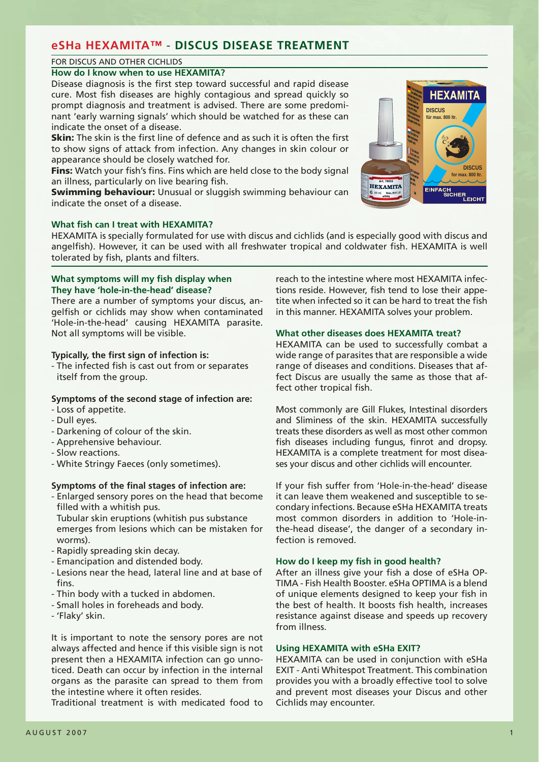# **eSHa HEXAMITA™** - **DISCUS DISEASE TREATMENT**

# FOR DISCUS AND OTHER CICHLIDS

## **How do I know when to use HEXAMITA?**

Disease diagnosis is the first step toward successful and rapid disease cure. Most fish diseases are highly contagious and spread quickly so prompt diagnosis and treatment is advised. There are some predominant 'early warning signals' which should be watched for as these can indicate the onset of a disease.

**Skin:** The skin is the first line of defence and as such it is often the first to show signs of attack from infection. Any changes in skin colour or appearance should be closely watched for.

**Fins:** Watch your fish's fins. Fins which are held close to the body signal an illness, particularly on live bearing fish.

**Swimming behaviour:** Unusual or sluggish swimming behaviour can indicate the onset of a disease.



HEXAMITA is specially formulated for use with discus and cichlids (and is especially good with discus and angelfish). However, it can be used with all freshwater tropical and coldwater fish. HEXAMITA is well tolerated by fish, plants and filters.

## **What symptoms will my fish display when They have 'hole-in-the-head' disease?**

There are a number of symptoms your discus, angelfish or cichlids may show when contaminated 'Hole-in-the-head' causing HEXAMITA parasite. Not all symptoms will be visible.

# **Typically, the first sign of infection is:**

- The infected fish is cast out from or separates itself from the group.

# **Symptoms of the second stage of infection are:**

- Loss of appetite.
- Dull eyes.
- Darkening of colour of the skin.
- Apprehensive behaviour.
- Slow reactions.
- White Stringy Faeces (only sometimes).

## **Symptoms of the final stages of infection are:**

- Enlarged sensory pores on the head that become filled with a whitish pus.

 Tubular skin eruptions (whitish pus substance emerges from lesions which can be mistaken for worms).

- Rapidly spreading skin decay.
- Emancipation and distended body.
- Lesions near the head, lateral line and at base of fine
- Thin body with a tucked in abdomen.
- Small holes in foreheads and body.
- 'Flaky' skin.

It is important to note the sensory pores are not always affected and hence if this visible sign is not present then a HEXAMITA infection can go unnoticed. Death can occur by infection in the internal organs as the parasite can spread to them from the intestine where it often resides.

Traditional treatment is with medicated food to

reach to the intestine where most HEXAMITA infections reside. However, fish tend to lose their appetite when infected so it can be hard to treat the fish in this manner. HEXAMITA solves your problem.

## **What other diseases does HEXAMITA treat?**

HEXAMITA can be used to successfully combat a wide range of parasites that are responsible a wide range of diseases and conditions. Diseases that affect Discus are usually the same as those that affect other tropical fish.

Most commonly are Gill Flukes, Intestinal disorders and Sliminess of the skin. HEXAMITA successfully treats these disorders as well as most other common fish diseases including fungus, finrot and dropsy. HEXAMITA is a complete treatment for most diseases your discus and other cichlids will encounter.

If your fish suffer from 'Hole-in-the-head' disease it can leave them weakened and susceptible to secondary infections. Because eSHa HEXAMITA treats most common disorders in addition to 'Hole-inthe-head disease', the danger of a secondary infection is removed.

## **How do I keep my fish in good health?**

After an illness give your fish a dose of eSHa OP-TIMA - Fish Health Booster. eSHa OPTIMA is a blend of unique elements designed to keep your fish in the best of health. It boosts fish health, increases resistance against disease and speeds up recovery from illness.

# **Using HEXAMITA with eSHa EXIT?**

HEXAMITA can be used in conjunction with eSHa EXIT - Anti Whitespot Treatment. This combination provides you with a broadly effective tool to solve and prevent most diseases your Discus and other Cichlids may encounter.

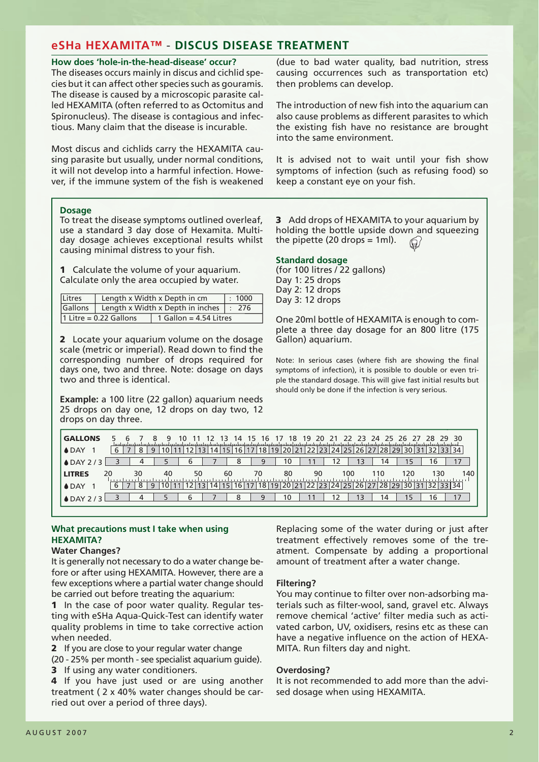# **eSHa HEXAMITA™** - **DISCUS DISEASE TREATMENT**

#### **How does 'hole-in-the-head-disease' occur?**

The diseases occurs mainly in discus and cichlid species but it can affect other species such as gouramis. The disease is caused by a microscopic parasite called HEXAMITA (often referred to as Octomitus and Spironucleus). The disease is contagious and infectious. Many claim that the disease is incurable.

Most discus and cichlids carry the HEXAMITA causing parasite but usually, under normal conditions, it will not develop into a harmful infection. However, if the immune system of the fish is weakened (due to bad water quality, bad nutrition, stress causing occurrences such as transportation etc) then problems can develop.

The introduction of new fish into the aquarium can also cause problems as different parasites to which the existing fish have no resistance are brought into the same environment.

It is advised not to wait until your fish show symptoms of infection (such as refusing food) so keep a constant eye on your fish.

#### **Dosage**

To treat the disease symptoms outlined overleaf, use a standard 3 day dose of Hexamita. Multiday dosage achieves exceptional results whilst causing minimal distress to your fish.

**1** Calculate the volume of your aquarium. Calculate only the area occupied by water.

| Litres  | Length x Width x Depth in cm | : 1000                           |      |  |  |  |  |  |  |
|---------|------------------------------|----------------------------------|------|--|--|--|--|--|--|
| Gallons |                              | Length x Width x Depth in inches | -276 |  |  |  |  |  |  |
|         | 1 Litre = $0.22$ Gallons     | 1 Gallon = $4.54$ Litres         |      |  |  |  |  |  |  |

**2** Locate your aquarium volume on the dosage scale (metric or imperial). Read down to find the corresponding number of drops required for days one, two and three. Note: dosage on days two and three is identical.

**Example:** a 100 litre (22 gallon) aquarium needs 25 drops on day one, 12 drops on day two, 12 drops on day three.

**3** Add drops of HEXAMITA to your aquarium by holding the bottle upside down and squeezing the pipette  $(20$  drops = 1ml).  $\Theta$ 

#### **Standard dosage**

(for 100 litres / 22 gallons) Day 1: 25 drops Day 2: 12 drops Day 3: 12 drops

One 20ml bottle of HEXAMITA is enough to complete a three day dosage for an 800 litre (175 Gallon) aquarium.

Note: In serious cases (where fish are showing the final symptoms of infection), it is possible to double or even triple the standard dosage. This will give fast initial results but should only be done if the infection is very serious.

| <b>GALLONS</b>      |    |    |   | q  | 10 | 13 | 14 | 15<br>16        |                 | 18                    | 19<br>20 | 21 | 22.<br>-23 | -25.<br>- 24                          | 26              | -27<br>28 | -29. | -30 |
|---------------------|----|----|---|----|----|----|----|-----------------|-----------------|-----------------------|----------|----|------------|---------------------------------------|-----------------|-----------|------|-----|
| ♦ DAY               |    |    | 9 |    |    | 15 | 16 | 18              | 19 20           | 21                    | つつ       |    |            | ! 23 24 25 26 27 28 29 30 31 32 33 34 |                 |           |      |     |
| $\triangle$ DAY 2/3 |    |    |   |    | h  |    | 8  | 9               |                 | 10                    |          |    | 13         | 14                                    | 15.             | 16        |      | 17  |
| <b>LITRES</b>       | 20 | 30 |   | 40 | 50 | 60 |    | 70              |                 | 80                    | 90       |    | 100        | 110                                   | 120             |           | 130  | 140 |
| ♦ DAY               | 6  | 8  | 9 |    |    |    | 16 | 18 <sup>1</sup> | 19 <sup>1</sup> | 20 <sup>1</sup><br>21 |          |    | 25         |                                       | 29 <sub>1</sub> |           |      |     |
| $\triangle$ DAY 2/3 |    | 4  |   |    | 6  |    | 8  | 9               |                 | 10                    |          |    | ١3         | 14                                    | 15              | 16        |      | 17  |

# **What precautions must I take when using HEXAMITA?**

## **Water Changes?**

It is generally not necessary to do a water change before or after using HEXAMITA. However, there are a few exceptions where a partial water change should be carried out before treating the aquarium:

**1** In the case of poor water quality. Regular testing with eSHa Aqua-Quick-Test can identify water quality problems in time to take corrective action when needed.

**2** If you are close to your regular water change

(20 - 25% per month - see specialist aquarium guide).

**3** If using any water conditioners.

**4** If you have just used or are using another treatment ( 2 x 40% water changes should be carried out over a period of three days).

Replacing some of the water during or just after treatment effectively removes some of the treatment. Compensate by adding a proportional amount of treatment after a water change.

## **Filtering?**

You may continue to filter over non-adsorbing materials such as filter-wool, sand, gravel etc. Always remove chemical 'active' filter media such as activated carbon, UV, oxidisers, resins etc as these can have a negative influence on the action of HEXA-MITA. Run filters day and night.

## **Overdosing?**

It is not recommended to add more than the advised dosage when using HEXAMITA.